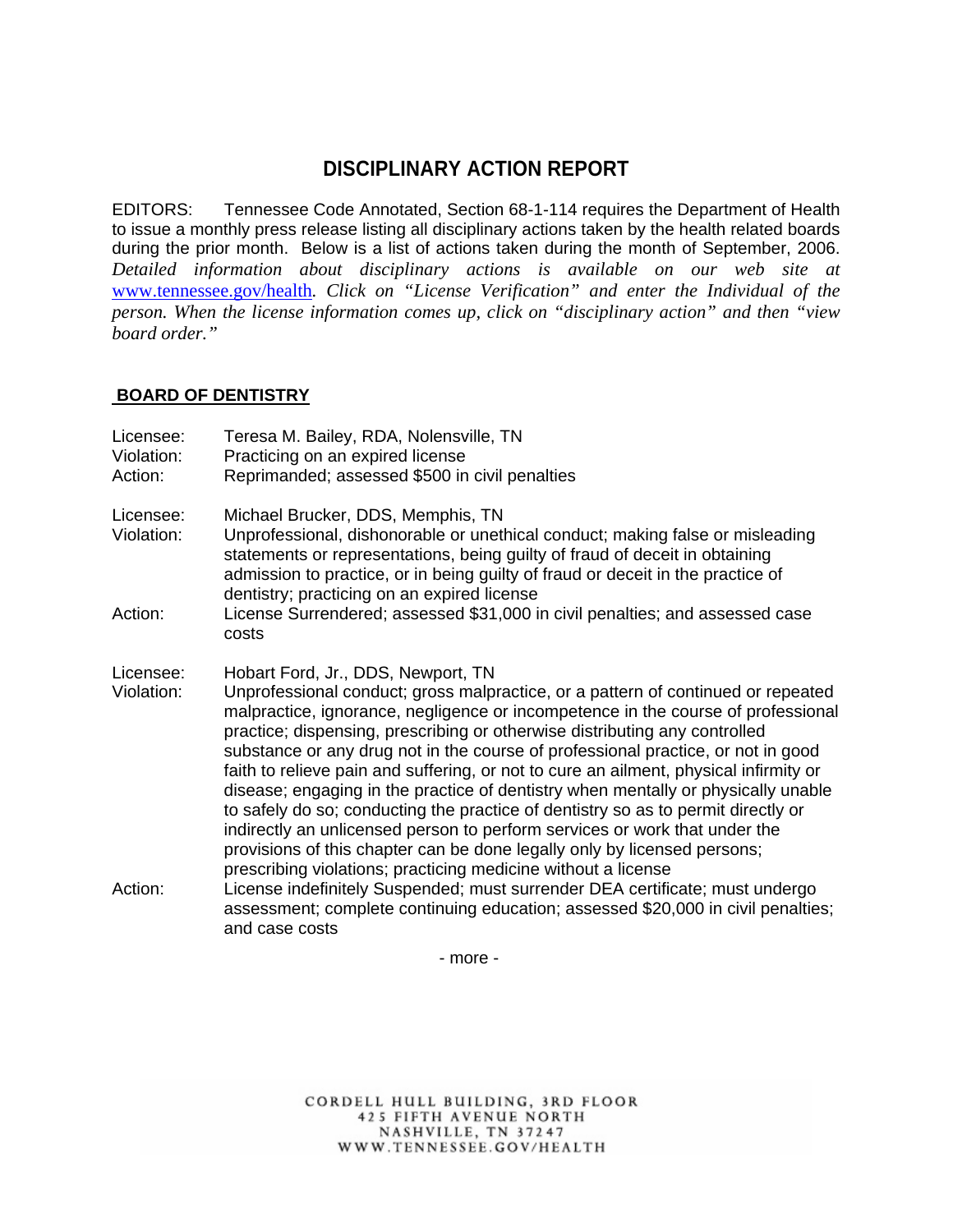# **DISCIPLINARY ACTION REPORT**

EDITORS: Tennessee Code Annotated, Section 68-1-114 requires the Department of Health to issue a monthly press release listing all disciplinary actions taken by the health related boards during the prior month. Below is a list of actions taken during the month of September, 2006. *Detailed information about disciplinary actions is available on our web site at*  www.tennessee.gov/health*. Click on "License Verification" and enter the Individual of the person. When the license information comes up, click on "disciplinary action" and then "view board order."* 

## **BOARD OF DENTISTRY**

| Licensee:<br>Violation:<br>Action: | Teresa M. Bailey, RDA, Nolensville, TN<br>Practicing on an expired license<br>Reprimanded; assessed \$500 in civil penalties                                                                                                                                                                                                                                                                                                                                                                                                                                                                                                                                                                                                                                                                                                                                               |
|------------------------------------|----------------------------------------------------------------------------------------------------------------------------------------------------------------------------------------------------------------------------------------------------------------------------------------------------------------------------------------------------------------------------------------------------------------------------------------------------------------------------------------------------------------------------------------------------------------------------------------------------------------------------------------------------------------------------------------------------------------------------------------------------------------------------------------------------------------------------------------------------------------------------|
| Licensee:<br>Violation:            | Michael Brucker, DDS, Memphis, TN<br>Unprofessional, dishonorable or unethical conduct; making false or misleading<br>statements or representations, being guilty of fraud of deceit in obtaining<br>admission to practice, or in being guilty of fraud or deceit in the practice of<br>dentistry; practicing on an expired license                                                                                                                                                                                                                                                                                                                                                                                                                                                                                                                                        |
| Action:                            | License Surrendered; assessed \$31,000 in civil penalties; and assessed case<br>costs                                                                                                                                                                                                                                                                                                                                                                                                                                                                                                                                                                                                                                                                                                                                                                                      |
| Licensee:<br>Violation:            | Hobart Ford, Jr., DDS, Newport, TN<br>Unprofessional conduct; gross malpractice, or a pattern of continued or repeated<br>malpractice, ignorance, negligence or incompetence in the course of professional<br>practice; dispensing, prescribing or otherwise distributing any controlled<br>substance or any drug not in the course of professional practice, or not in good<br>faith to relieve pain and suffering, or not to cure an ailment, physical infirmity or<br>disease; engaging in the practice of dentistry when mentally or physically unable<br>to safely do so; conducting the practice of dentistry so as to permit directly or<br>indirectly an unlicensed person to perform services or work that under the<br>provisions of this chapter can be done legally only by licensed persons;<br>prescribing violations; practicing medicine without a license |
| Action:                            | License indefinitely Suspended; must surrender DEA certificate; must undergo<br>assessment; complete continuing education; assessed \$20,000 in civil penalties;<br>and case costs                                                                                                                                                                                                                                                                                                                                                                                                                                                                                                                                                                                                                                                                                         |

- more -

CORDELL HULL BUILDING, 3RD FLOOR **425 FIFTH AVENUE NORTH** NASHVILLE, TN 37247 WWW.TENNESSEE.GOV/HEALTH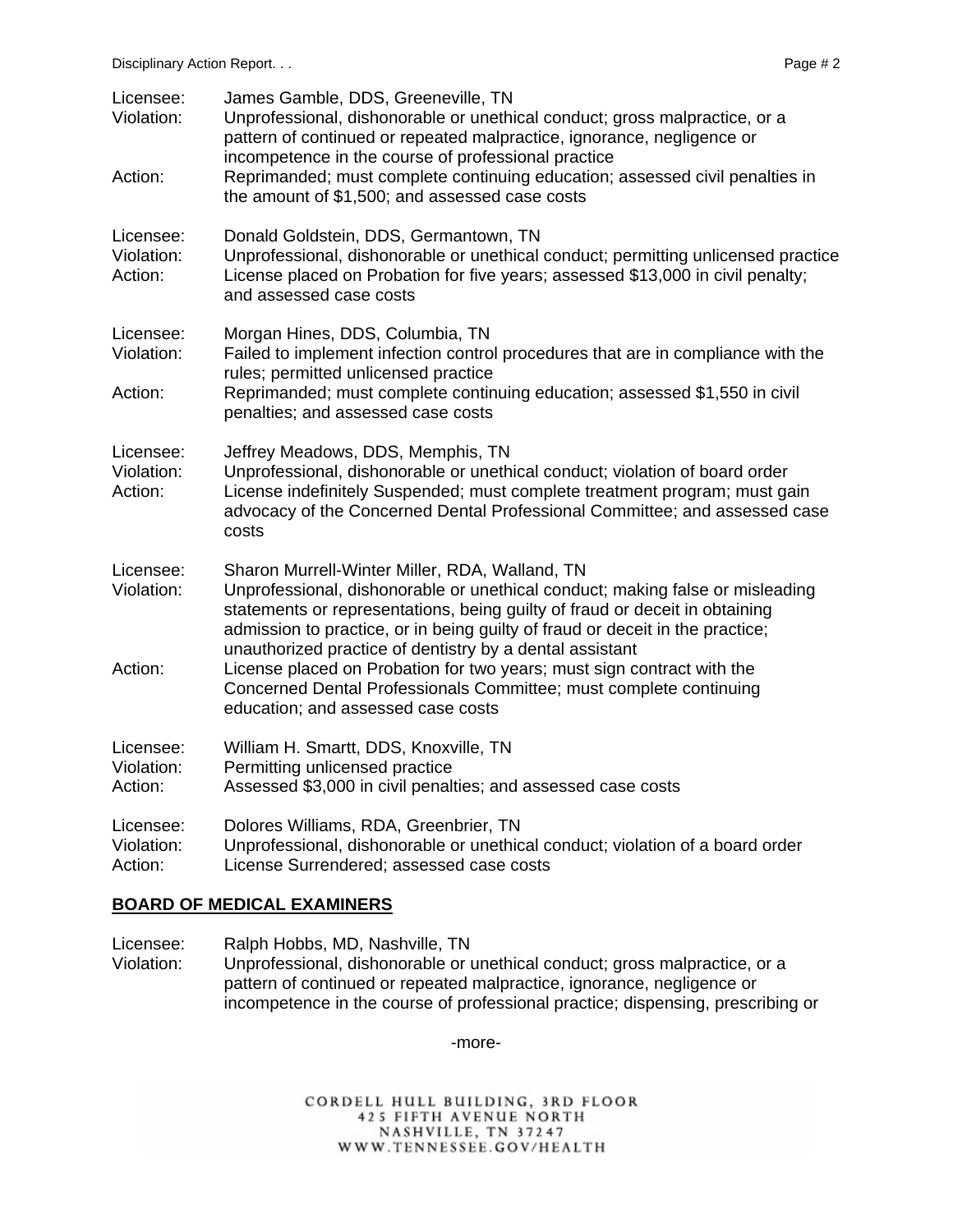| Licensee:<br>Violation:<br>Action: | James Gamble, DDS, Greeneville, TN<br>Unprofessional, dishonorable or unethical conduct; gross malpractice, or a<br>pattern of continued or repeated malpractice, ignorance, negligence or<br>incompetence in the course of professional practice<br>Reprimanded; must complete continuing education; assessed civil penalties in<br>the amount of \$1,500; and assessed case costs                                                                                                                                                               |
|------------------------------------|---------------------------------------------------------------------------------------------------------------------------------------------------------------------------------------------------------------------------------------------------------------------------------------------------------------------------------------------------------------------------------------------------------------------------------------------------------------------------------------------------------------------------------------------------|
| Licensee:<br>Violation:<br>Action: | Donald Goldstein, DDS, Germantown, TN<br>Unprofessional, dishonorable or unethical conduct; permitting unlicensed practice<br>License placed on Probation for five years; assessed \$13,000 in civil penalty;<br>and assessed case costs                                                                                                                                                                                                                                                                                                          |
| Licensee:<br>Violation:<br>Action: | Morgan Hines, DDS, Columbia, TN<br>Failed to implement infection control procedures that are in compliance with the<br>rules; permitted unlicensed practice<br>Reprimanded; must complete continuing education; assessed \$1,550 in civil<br>penalties; and assessed case costs                                                                                                                                                                                                                                                                   |
| Licensee:<br>Violation:<br>Action: | Jeffrey Meadows, DDS, Memphis, TN<br>Unprofessional, dishonorable or unethical conduct; violation of board order<br>License indefinitely Suspended; must complete treatment program; must gain<br>advocacy of the Concerned Dental Professional Committee; and assessed case<br>costs                                                                                                                                                                                                                                                             |
| Licensee:<br>Violation:<br>Action: | Sharon Murrell-Winter Miller, RDA, Walland, TN<br>Unprofessional, dishonorable or unethical conduct; making false or misleading<br>statements or representations, being guilty of fraud or deceit in obtaining<br>admission to practice, or in being guilty of fraud or deceit in the practice;<br>unauthorized practice of dentistry by a dental assistant<br>License placed on Probation for two years; must sign contract with the<br>Concerned Dental Professionals Committee; must complete continuing<br>education; and assessed case costs |
| Licensee:<br>Violation:<br>Action: | William H. Smartt, DDS, Knoxville, TN<br>Permitting unlicensed practice<br>Assessed \$3,000 in civil penalties; and assessed case costs                                                                                                                                                                                                                                                                                                                                                                                                           |
| Licensee:<br>Violation:<br>Action: | Dolores Williams, RDA, Greenbrier, TN<br>Unprofessional, dishonorable or unethical conduct; violation of a board order<br>License Surrendered; assessed case costs                                                                                                                                                                                                                                                                                                                                                                                |

## **BOARD OF MEDICAL EXAMINERS**

Licensee: Ralph Hobbs, MD, Nashville, TN

Violation: Unprofessional, dishonorable or unethical conduct; gross malpractice, or a pattern of continued or repeated malpractice, ignorance, negligence or incompetence in the course of professional practice; dispensing, prescribing or

-more-

CORDELL HULL BUILDING, 3RD FLOOR 425 FIFTH AVENUE NORTH NASHVILLE, TN 37247 WWW.TENNESSEE.GOV/HEALTH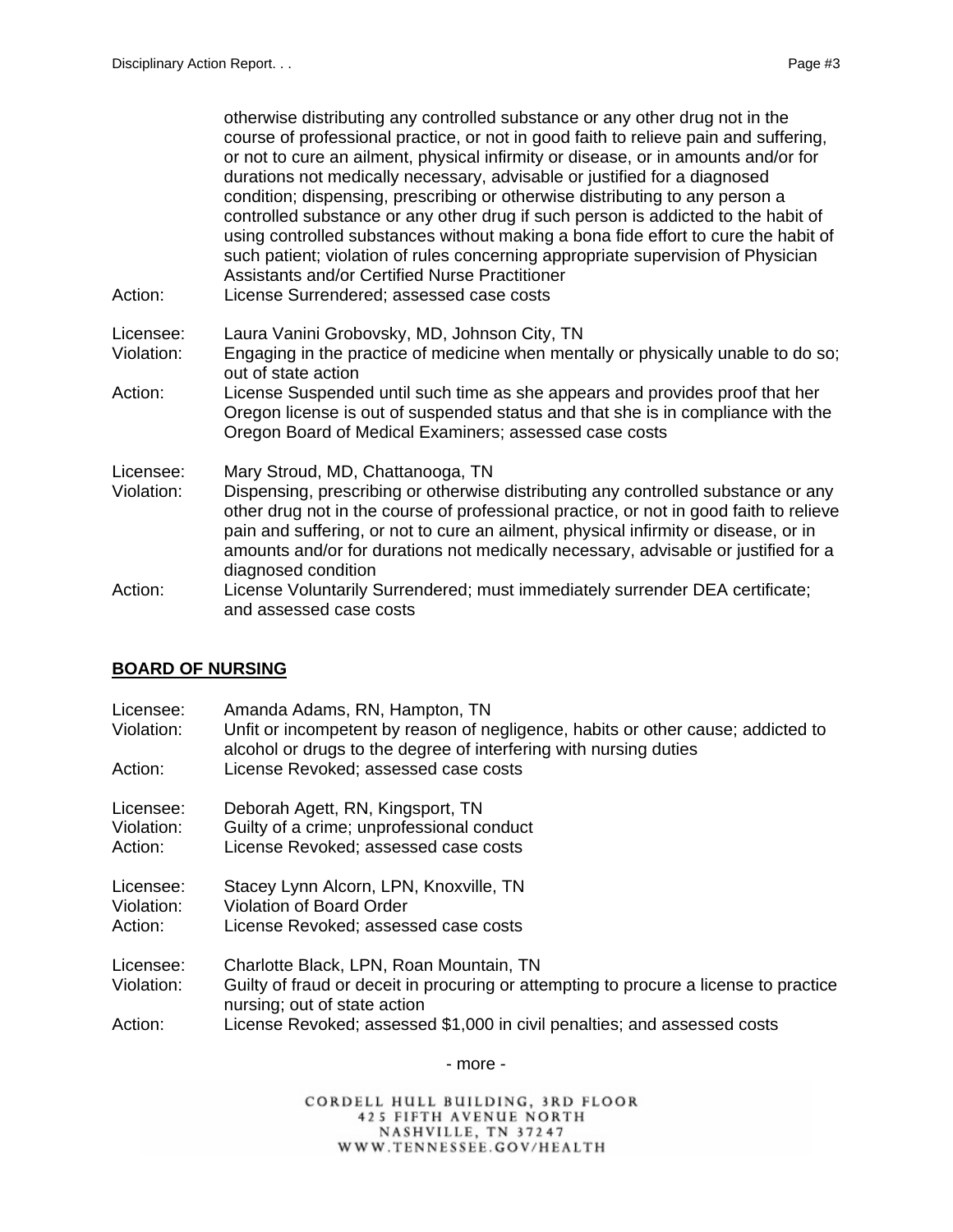| Action:    | otherwise distributing any controlled substance or any other drug not in the<br>course of professional practice, or not in good faith to relieve pain and suffering,<br>or not to cure an ailment, physical infirmity or disease, or in amounts and/or for<br>durations not medically necessary, advisable or justified for a diagnosed<br>condition; dispensing, prescribing or otherwise distributing to any person a<br>controlled substance or any other drug if such person is addicted to the habit of<br>using controlled substances without making a bona fide effort to cure the habit of<br>such patient; violation of rules concerning appropriate supervision of Physician<br>Assistants and/or Certified Nurse Practitioner<br>License Surrendered; assessed case costs |
|------------|--------------------------------------------------------------------------------------------------------------------------------------------------------------------------------------------------------------------------------------------------------------------------------------------------------------------------------------------------------------------------------------------------------------------------------------------------------------------------------------------------------------------------------------------------------------------------------------------------------------------------------------------------------------------------------------------------------------------------------------------------------------------------------------|
| Licensee:  | Laura Vanini Grobovsky, MD, Johnson City, TN                                                                                                                                                                                                                                                                                                                                                                                                                                                                                                                                                                                                                                                                                                                                         |
| Violation: | Engaging in the practice of medicine when mentally or physically unable to do so;<br>out of state action                                                                                                                                                                                                                                                                                                                                                                                                                                                                                                                                                                                                                                                                             |
| Action:    | License Suspended until such time as she appears and provides proof that her<br>Oregon license is out of suspended status and that she is in compliance with the<br>Oregon Board of Medical Examiners; assessed case costs                                                                                                                                                                                                                                                                                                                                                                                                                                                                                                                                                           |
| Licensee:  | Mary Stroud, MD, Chattanooga, TN                                                                                                                                                                                                                                                                                                                                                                                                                                                                                                                                                                                                                                                                                                                                                     |
| Violation: | Dispensing, prescribing or otherwise distributing any controlled substance or any<br>other drug not in the course of professional practice, or not in good faith to relieve<br>pain and suffering, or not to cure an ailment, physical infirmity or disease, or in<br>amounts and/or for durations not medically necessary, advisable or justified for a<br>diagnosed condition                                                                                                                                                                                                                                                                                                                                                                                                      |
| Action:    | License Voluntarily Surrendered; must immediately surrender DEA certificate;<br>and assessed case costs                                                                                                                                                                                                                                                                                                                                                                                                                                                                                                                                                                                                                                                                              |

## **BOARD OF NURSING**

| Licensee:<br>Violation:            | Amanda Adams, RN, Hampton, TN<br>Unfit or incompetent by reason of negligence, habits or other cause; addicted to<br>alcohol or drugs to the degree of interfering with nursing duties |
|------------------------------------|----------------------------------------------------------------------------------------------------------------------------------------------------------------------------------------|
| Action:                            | License Revoked; assessed case costs                                                                                                                                                   |
| Licensee:<br>Violation:<br>Action: | Deborah Agett, RN, Kingsport, TN<br>Guilty of a crime; unprofessional conduct<br>License Revoked; assessed case costs                                                                  |
| Licensee:<br>Violation:<br>Action: | Stacey Lynn Alcorn, LPN, Knoxville, TN<br><b>Violation of Board Order</b><br>License Revoked; assessed case costs                                                                      |
| Licensee:<br>Violation:            | Charlotte Black, LPN, Roan Mountain, TN<br>Guilty of fraud or deceit in procuring or attempting to procure a license to practice<br>nursing; out of state action                       |
| Action:                            | License Revoked; assessed \$1,000 in civil penalties; and assessed costs                                                                                                               |

- more -

CORDELL HULL BUILDING, 3RD FLOOR 425 FIFTH AVENUE NORTH<br>NASHVILLE, TN 37247<br>WWW.TENNESSEE.GOV/HEALTH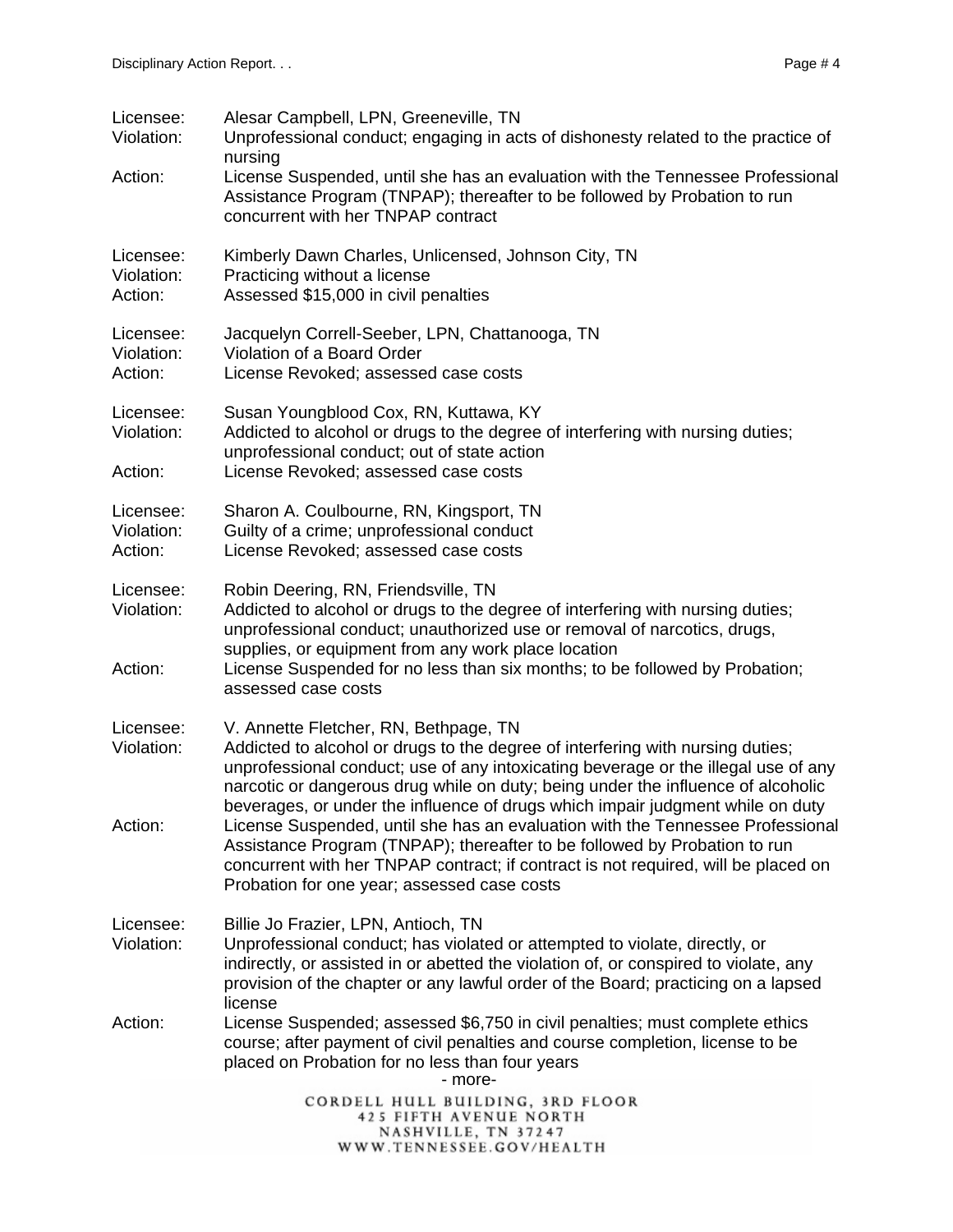| Licensee:<br>Violation:            | Alesar Campbell, LPN, Greeneville, TN<br>Unprofessional conduct; engaging in acts of dishonesty related to the practice of<br>nursing                                                                                                                                                                                                                                               |
|------------------------------------|-------------------------------------------------------------------------------------------------------------------------------------------------------------------------------------------------------------------------------------------------------------------------------------------------------------------------------------------------------------------------------------|
| Action:                            | License Suspended, until she has an evaluation with the Tennessee Professional<br>Assistance Program (TNPAP); thereafter to be followed by Probation to run<br>concurrent with her TNPAP contract                                                                                                                                                                                   |
| Licensee:<br>Violation:<br>Action: | Kimberly Dawn Charles, Unlicensed, Johnson City, TN<br>Practicing without a license<br>Assessed \$15,000 in civil penalties                                                                                                                                                                                                                                                         |
| Licensee:<br>Violation:<br>Action: | Jacquelyn Correll-Seeber, LPN, Chattanooga, TN<br>Violation of a Board Order<br>License Revoked; assessed case costs                                                                                                                                                                                                                                                                |
| Licensee:<br>Violation:<br>Action: | Susan Youngblood Cox, RN, Kuttawa, KY<br>Addicted to alcohol or drugs to the degree of interfering with nursing duties;<br>unprofessional conduct; out of state action<br>License Revoked; assessed case costs                                                                                                                                                                      |
| Licensee:<br>Violation:<br>Action: | Sharon A. Coulbourne, RN, Kingsport, TN<br>Guilty of a crime; unprofessional conduct<br>License Revoked; assessed case costs                                                                                                                                                                                                                                                        |
| Licensee:<br>Violation:<br>Action: | Robin Deering, RN, Friendsville, TN<br>Addicted to alcohol or drugs to the degree of interfering with nursing duties;<br>unprofessional conduct; unauthorized use or removal of narcotics, drugs,<br>supplies, or equipment from any work place location<br>License Suspended for no less than six months; to be followed by Probation;<br>assessed case costs                      |
| Licensee:<br>Violation:            | V. Annette Fletcher, RN, Bethpage, TN<br>Addicted to alcohol or drugs to the degree of interfering with nursing duties;<br>unprofessional conduct; use of any intoxicating beverage or the illegal use of any<br>narcotic or dangerous drug while on duty; being under the influence of alcoholic<br>beverages, or under the influence of drugs which impair judgment while on duty |
| Action:                            | License Suspended, until she has an evaluation with the Tennessee Professional<br>Assistance Program (TNPAP); thereafter to be followed by Probation to run<br>concurrent with her TNPAP contract; if contract is not required, will be placed on<br>Probation for one year; assessed case costs                                                                                    |
| Licensee:<br>Violation:            | Billie Jo Frazier, LPN, Antioch, TN<br>Unprofessional conduct; has violated or attempted to violate, directly, or<br>indirectly, or assisted in or abetted the violation of, or conspired to violate, any<br>provision of the chapter or any lawful order of the Board; practicing on a lapsed<br>license                                                                           |
| Action:                            | License Suspended; assessed \$6,750 in civil penalties; must complete ethics<br>course; after payment of civil penalties and course completion, license to be<br>placed on Probation for no less than four years<br>- more-                                                                                                                                                         |
|                                    | CORDELL HULL BUILDING, 3RD FLOOR<br>425 FIFTH AVENUE NORTH<br>NASHVILLE, TN 37247<br>WWW.TENNESSEE.GOV/HEALTH                                                                                                                                                                                                                                                                       |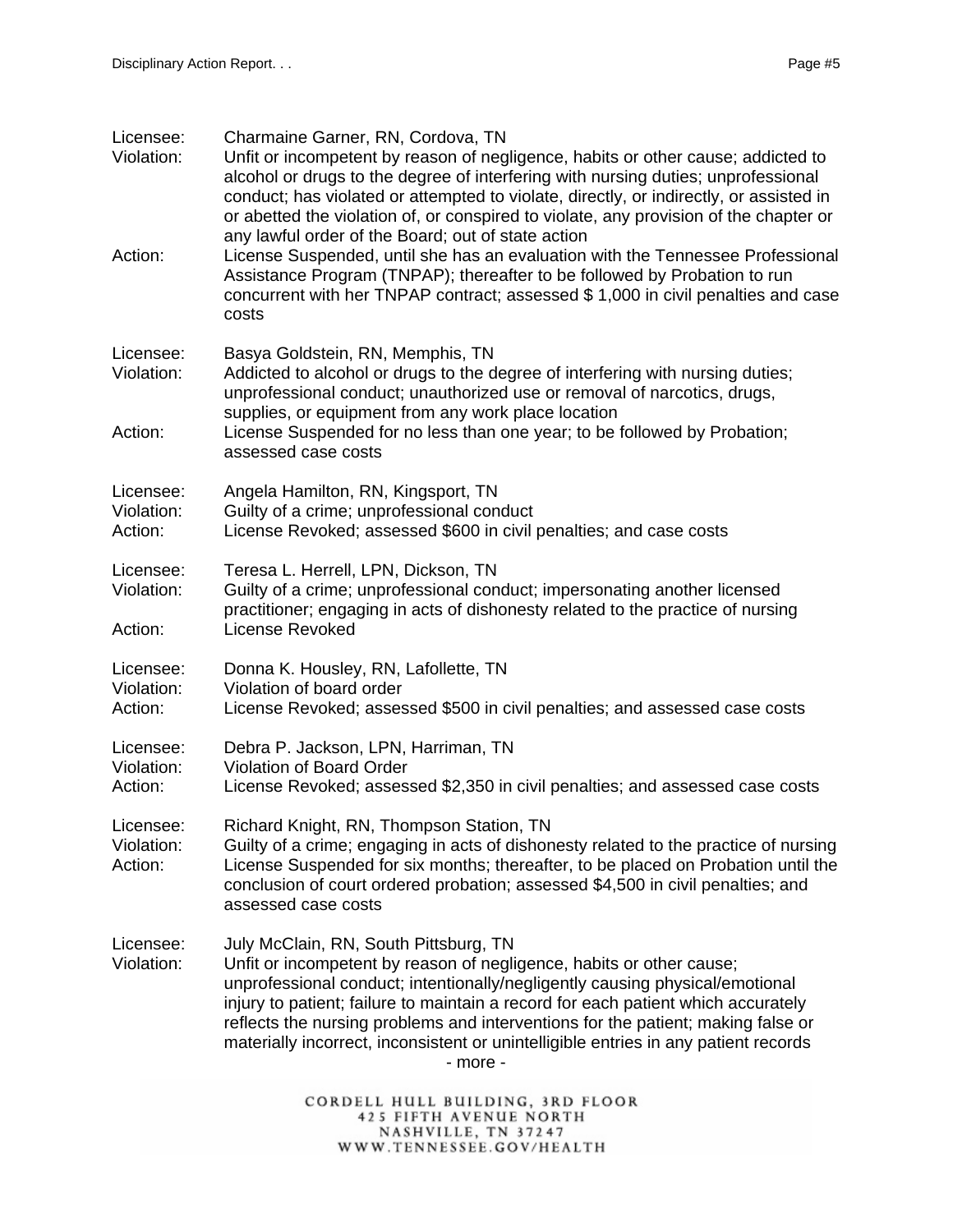| Licensee:<br>Violation:            | Charmaine Garner, RN, Cordova, TN<br>Unfit or incompetent by reason of negligence, habits or other cause; addicted to<br>alcohol or drugs to the degree of interfering with nursing duties; unprofessional<br>conduct; has violated or attempted to violate, directly, or indirectly, or assisted in<br>or abetted the violation of, or conspired to violate, any provision of the chapter or                                                                             |
|------------------------------------|---------------------------------------------------------------------------------------------------------------------------------------------------------------------------------------------------------------------------------------------------------------------------------------------------------------------------------------------------------------------------------------------------------------------------------------------------------------------------|
| Action:                            | any lawful order of the Board; out of state action<br>License Suspended, until she has an evaluation with the Tennessee Professional<br>Assistance Program (TNPAP); thereafter to be followed by Probation to run<br>concurrent with her TNPAP contract; assessed \$1,000 in civil penalties and case<br>costs                                                                                                                                                            |
| Licensee:<br>Violation:            | Basya Goldstein, RN, Memphis, TN<br>Addicted to alcohol or drugs to the degree of interfering with nursing duties;<br>unprofessional conduct; unauthorized use or removal of narcotics, drugs,<br>supplies, or equipment from any work place location                                                                                                                                                                                                                     |
| Action:                            | License Suspended for no less than one year; to be followed by Probation;<br>assessed case costs                                                                                                                                                                                                                                                                                                                                                                          |
| Licensee:<br>Violation:<br>Action: | Angela Hamilton, RN, Kingsport, TN<br>Guilty of a crime; unprofessional conduct<br>License Revoked; assessed \$600 in civil penalties; and case costs                                                                                                                                                                                                                                                                                                                     |
| Licensee:<br>Violation:<br>Action: | Teresa L. Herrell, LPN, Dickson, TN<br>Guilty of a crime; unprofessional conduct; impersonating another licensed<br>practitioner; engaging in acts of dishonesty related to the practice of nursing<br><b>License Revoked</b>                                                                                                                                                                                                                                             |
| Licensee:<br>Violation:<br>Action: | Donna K. Housley, RN, Lafollette, TN<br>Violation of board order<br>License Revoked; assessed \$500 in civil penalties; and assessed case costs                                                                                                                                                                                                                                                                                                                           |
| Licensee:<br>Violation:<br>Action: | Debra P. Jackson, LPN, Harriman, TN<br><b>Violation of Board Order</b><br>License Revoked; assessed \$2,350 in civil penalties; and assessed case costs                                                                                                                                                                                                                                                                                                                   |
| Licensee:<br>Violation:<br>Action: | Richard Knight, RN, Thompson Station, TN<br>Guilty of a crime; engaging in acts of dishonesty related to the practice of nursing<br>License Suspended for six months; thereafter, to be placed on Probation until the<br>conclusion of court ordered probation; assessed \$4,500 in civil penalties; and<br>assessed case costs                                                                                                                                           |
| Licensee:<br>Violation:            | July McClain, RN, South Pittsburg, TN<br>Unfit or incompetent by reason of negligence, habits or other cause;<br>unprofessional conduct; intentionally/negligently causing physical/emotional<br>injury to patient; failure to maintain a record for each patient which accurately<br>reflects the nursing problems and interventions for the patient; making false or<br>materially incorrect, inconsistent or unintelligible entries in any patient records<br>- more - |
|                                    | CORDELL HULL BUILDING, 3RD FLOOR<br><b>425 FIFTH AVENUE NORTH</b>                                                                                                                                                                                                                                                                                                                                                                                                         |

NASHVILLE, TN 37247<br>WWW.TENNESSEE.GOV/HEALTH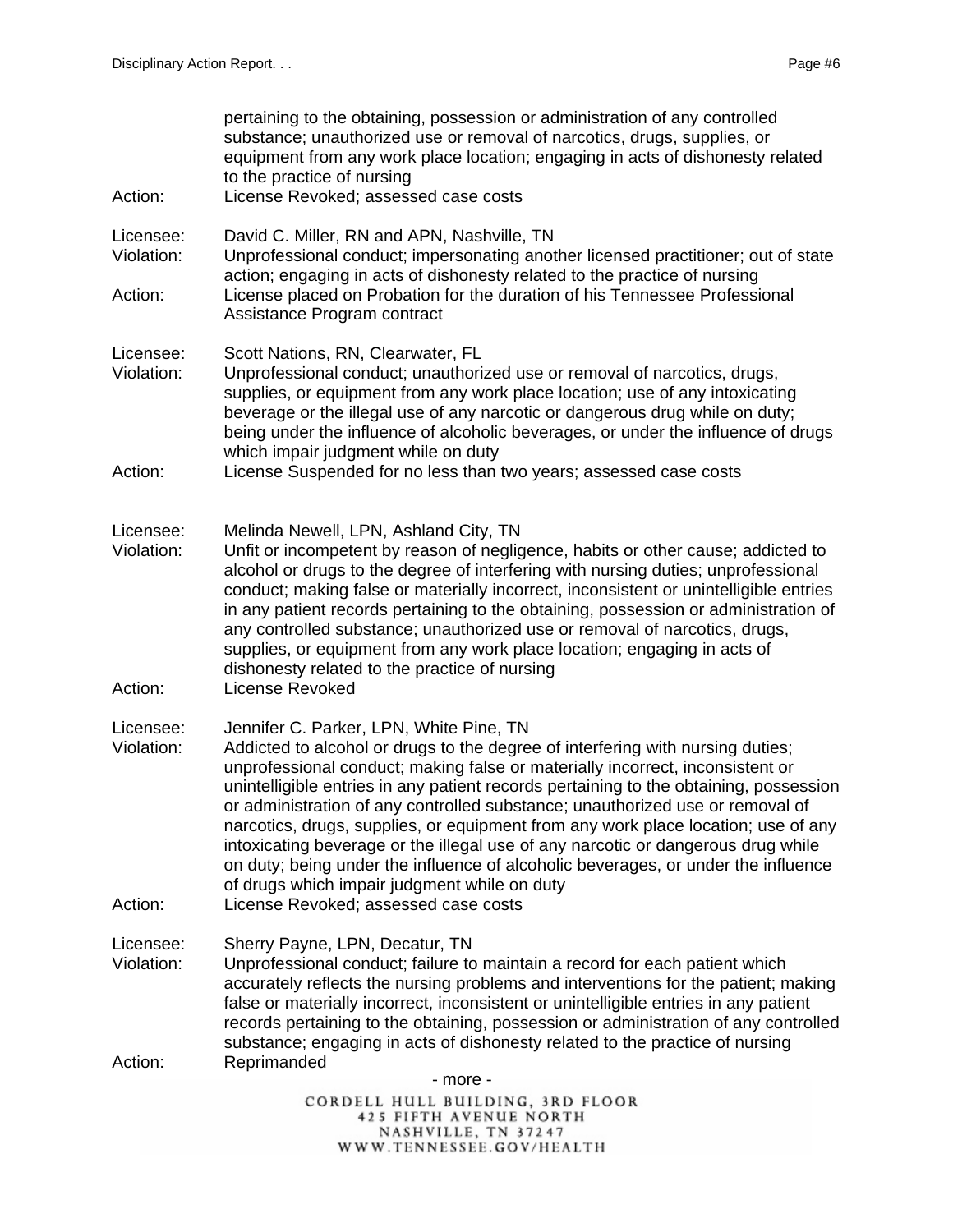| Action:                            | pertaining to the obtaining, possession or administration of any controlled<br>substance; unauthorized use or removal of narcotics, drugs, supplies, or<br>equipment from any work place location; engaging in acts of dishonesty related<br>to the practice of nursing<br>License Revoked; assessed case costs                                                                                                                                                                                                                                                                                                                                                                                                                            |
|------------------------------------|--------------------------------------------------------------------------------------------------------------------------------------------------------------------------------------------------------------------------------------------------------------------------------------------------------------------------------------------------------------------------------------------------------------------------------------------------------------------------------------------------------------------------------------------------------------------------------------------------------------------------------------------------------------------------------------------------------------------------------------------|
| Licensee:<br>Violation:            | David C. Miller, RN and APN, Nashville, TN<br>Unprofessional conduct; impersonating another licensed practitioner; out of state<br>action; engaging in acts of dishonesty related to the practice of nursing                                                                                                                                                                                                                                                                                                                                                                                                                                                                                                                               |
| Action:                            | License placed on Probation for the duration of his Tennessee Professional<br>Assistance Program contract                                                                                                                                                                                                                                                                                                                                                                                                                                                                                                                                                                                                                                  |
| Licensee:<br>Violation:            | Scott Nations, RN, Clearwater, FL<br>Unprofessional conduct; unauthorized use or removal of narcotics, drugs,<br>supplies, or equipment from any work place location; use of any intoxicating<br>beverage or the illegal use of any narcotic or dangerous drug while on duty;<br>being under the influence of alcoholic beverages, or under the influence of drugs<br>which impair judgment while on duty                                                                                                                                                                                                                                                                                                                                  |
| Action:                            | License Suspended for no less than two years; assessed case costs                                                                                                                                                                                                                                                                                                                                                                                                                                                                                                                                                                                                                                                                          |
| Licensee:<br>Violation:<br>Action: | Melinda Newell, LPN, Ashland City, TN<br>Unfit or incompetent by reason of negligence, habits or other cause; addicted to<br>alcohol or drugs to the degree of interfering with nursing duties; unprofessional<br>conduct; making false or materially incorrect, inconsistent or unintelligible entries<br>in any patient records pertaining to the obtaining, possession or administration of<br>any controlled substance; unauthorized use or removal of narcotics, drugs,<br>supplies, or equipment from any work place location; engaging in acts of<br>dishonesty related to the practice of nursing<br>License Revoked                                                                                                               |
| Licensee:<br>Violation:<br>Action: | Jennifer C. Parker, LPN, White Pine, TN<br>Addicted to alcohol or drugs to the degree of interfering with nursing duties;<br>unprofessional conduct; making false or materially incorrect, inconsistent or<br>unintelligible entries in any patient records pertaining to the obtaining, possession<br>or administration of any controlled substance; unauthorized use or removal of<br>narcotics, drugs, supplies, or equipment from any work place location; use of any<br>intoxicating beverage or the illegal use of any narcotic or dangerous drug while<br>on duty; being under the influence of alcoholic beverages, or under the influence<br>of drugs which impair judgment while on duty<br>License Revoked; assessed case costs |
| Licensee:<br>Violation:            | Sherry Payne, LPN, Decatur, TN<br>Unprofessional conduct; failure to maintain a record for each patient which<br>accurately reflects the nursing problems and interventions for the patient; making<br>false or materially incorrect, inconsistent or unintelligible entries in any patient<br>records pertaining to the obtaining, possession or administration of any controlled<br>substance; engaging in acts of dishonesty related to the practice of nursing                                                                                                                                                                                                                                                                         |
| Action:                            | Reprimanded<br>- more -                                                                                                                                                                                                                                                                                                                                                                                                                                                                                                                                                                                                                                                                                                                    |
|                                    | CORDELL HULL BUILDING, 3RD FLOOR<br><b>425 FIFTH AVENUE NORTH</b><br>NACHVILLE TN 27247                                                                                                                                                                                                                                                                                                                                                                                                                                                                                                                                                                                                                                                    |

NASHVILLE, TN 37247<br>WWW.TENNESSEE.GOV/HEALTH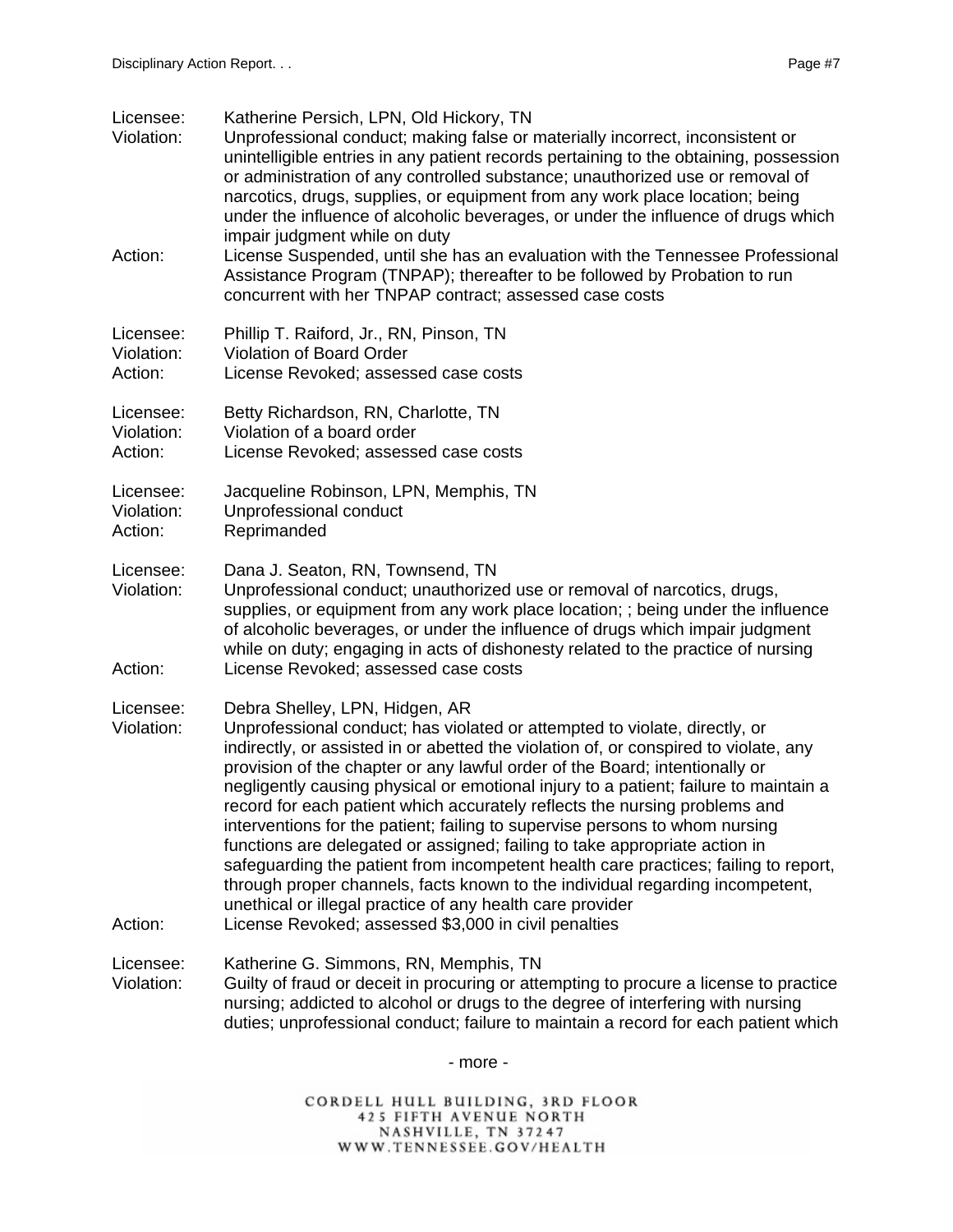| Licensee:<br>Violation:<br>Action: | Katherine Persich, LPN, Old Hickory, TN<br>Unprofessional conduct; making false or materially incorrect, inconsistent or<br>unintelligible entries in any patient records pertaining to the obtaining, possession<br>or administration of any controlled substance; unauthorized use or removal of<br>narcotics, drugs, supplies, or equipment from any work place location; being<br>under the influence of alcoholic beverages, or under the influence of drugs which<br>impair judgment while on duty<br>License Suspended, until she has an evaluation with the Tennessee Professional<br>Assistance Program (TNPAP); thereafter to be followed by Probation to run                                                                                                                                                                                                                                             |
|------------------------------------|---------------------------------------------------------------------------------------------------------------------------------------------------------------------------------------------------------------------------------------------------------------------------------------------------------------------------------------------------------------------------------------------------------------------------------------------------------------------------------------------------------------------------------------------------------------------------------------------------------------------------------------------------------------------------------------------------------------------------------------------------------------------------------------------------------------------------------------------------------------------------------------------------------------------|
|                                    | concurrent with her TNPAP contract; assessed case costs                                                                                                                                                                                                                                                                                                                                                                                                                                                                                                                                                                                                                                                                                                                                                                                                                                                             |
| Licensee:<br>Violation:<br>Action: | Phillip T. Raiford, Jr., RN, Pinson, TN<br>Violation of Board Order<br>License Revoked; assessed case costs                                                                                                                                                                                                                                                                                                                                                                                                                                                                                                                                                                                                                                                                                                                                                                                                         |
| Licensee:<br>Violation:<br>Action: | Betty Richardson, RN, Charlotte, TN<br>Violation of a board order<br>License Revoked; assessed case costs                                                                                                                                                                                                                                                                                                                                                                                                                                                                                                                                                                                                                                                                                                                                                                                                           |
| Licensee:<br>Violation:<br>Action: | Jacqueline Robinson, LPN, Memphis, TN<br>Unprofessional conduct<br>Reprimanded                                                                                                                                                                                                                                                                                                                                                                                                                                                                                                                                                                                                                                                                                                                                                                                                                                      |
| Licensee:<br>Violation:<br>Action: | Dana J. Seaton, RN, Townsend, TN<br>Unprofessional conduct; unauthorized use or removal of narcotics, drugs,<br>supplies, or equipment from any work place location; ; being under the influence<br>of alcoholic beverages, or under the influence of drugs which impair judgment<br>while on duty; engaging in acts of dishonesty related to the practice of nursing<br>License Revoked; assessed case costs                                                                                                                                                                                                                                                                                                                                                                                                                                                                                                       |
| Licensee:<br>Violation:<br>Action: | Debra Shelley, LPN, Hidgen, AR<br>Unprofessional conduct; has violated or attempted to violate, directly, or<br>indirectly, or assisted in or abetted the violation of, or conspired to violate, any<br>provision of the chapter or any lawful order of the Board; intentionally or<br>negligently causing physical or emotional injury to a patient; failure to maintain a<br>record for each patient which accurately reflects the nursing problems and<br>interventions for the patient; failing to supervise persons to whom nursing<br>functions are delegated or assigned; failing to take appropriate action in<br>safeguarding the patient from incompetent health care practices; failing to report,<br>through proper channels, facts known to the individual regarding incompetent,<br>unethical or illegal practice of any health care provider<br>License Revoked; assessed \$3,000 in civil penalties |
| Licensee:<br>Violation:            | Katherine G. Simmons, RN, Memphis, TN<br>Guilty of fraud or deceit in procuring or attempting to procure a license to practice<br>nursing; addicted to alcohol or drugs to the degree of interfering with nursing<br>duties; unprofessional conduct; failure to maintain a record for each patient which                                                                                                                                                                                                                                                                                                                                                                                                                                                                                                                                                                                                            |
|                                    |                                                                                                                                                                                                                                                                                                                                                                                                                                                                                                                                                                                                                                                                                                                                                                                                                                                                                                                     |

- more -

CORDELL HULL BUILDING, 3RD FLOOR<br>425 FIFTH AVENUE NORTH<br>NASHVILLE, TN 37247<br>WWW.TENNESSEE.GOV/HEALTH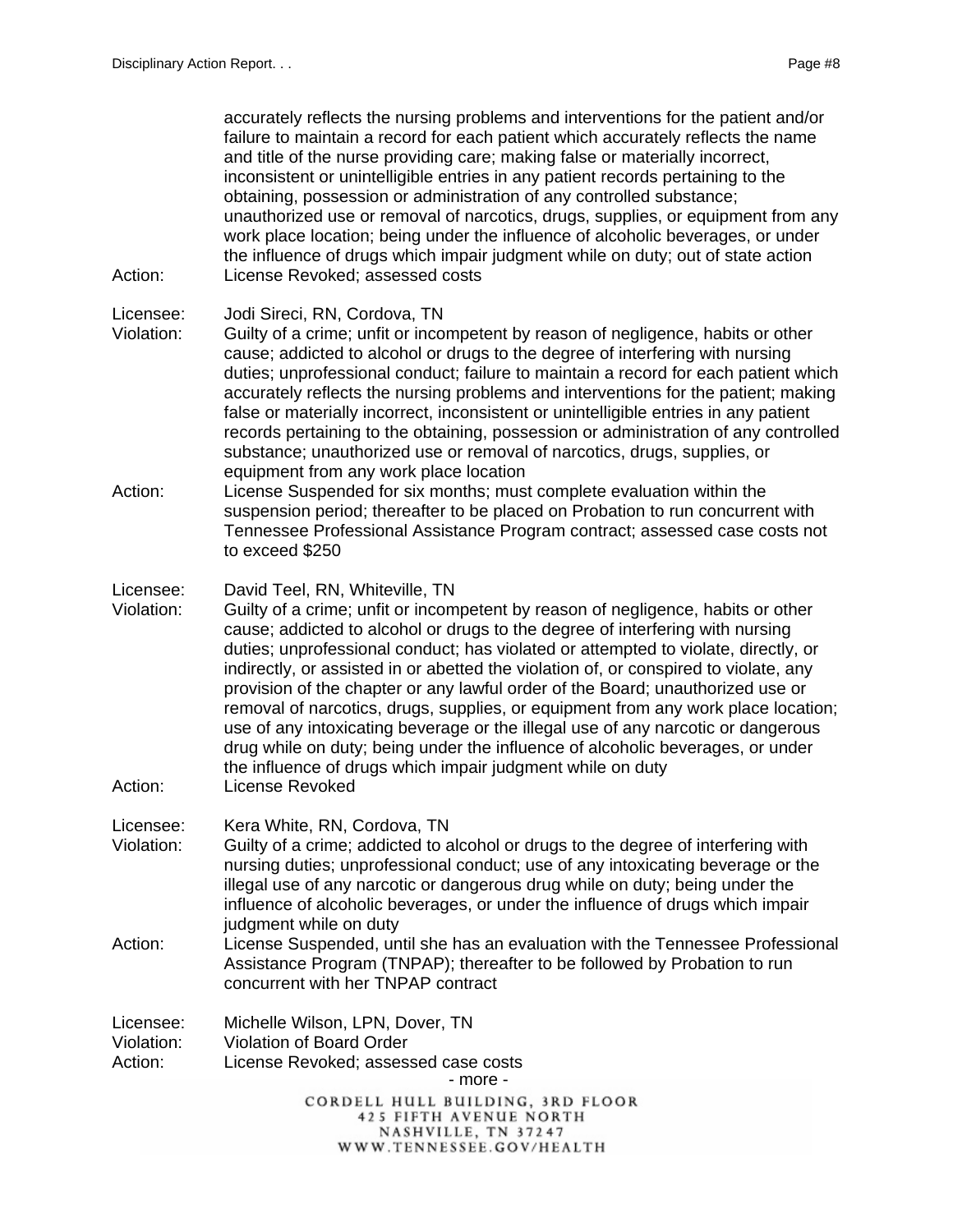| Action:                            | accurately reflects the nursing problems and interventions for the patient and/or<br>failure to maintain a record for each patient which accurately reflects the name<br>and title of the nurse providing care; making false or materially incorrect,<br>inconsistent or unintelligible entries in any patient records pertaining to the<br>obtaining, possession or administration of any controlled substance;<br>unauthorized use or removal of narcotics, drugs, supplies, or equipment from any<br>work place location; being under the influence of alcoholic beverages, or under<br>the influence of drugs which impair judgment while on duty; out of state action<br>License Revoked; assessed costs                                                                                                   |
|------------------------------------|-----------------------------------------------------------------------------------------------------------------------------------------------------------------------------------------------------------------------------------------------------------------------------------------------------------------------------------------------------------------------------------------------------------------------------------------------------------------------------------------------------------------------------------------------------------------------------------------------------------------------------------------------------------------------------------------------------------------------------------------------------------------------------------------------------------------|
| Licensee:<br>Violation:            | Jodi Sireci, RN, Cordova, TN<br>Guilty of a crime; unfit or incompetent by reason of negligence, habits or other<br>cause; addicted to alcohol or drugs to the degree of interfering with nursing<br>duties; unprofessional conduct; failure to maintain a record for each patient which<br>accurately reflects the nursing problems and interventions for the patient; making<br>false or materially incorrect, inconsistent or unintelligible entries in any patient<br>records pertaining to the obtaining, possession or administration of any controlled<br>substance; unauthorized use or removal of narcotics, drugs, supplies, or<br>equipment from any work place location                                                                                                                             |
| Action:                            | License Suspended for six months; must complete evaluation within the<br>suspension period; thereafter to be placed on Probation to run concurrent with<br>Tennessee Professional Assistance Program contract; assessed case costs not<br>to exceed \$250                                                                                                                                                                                                                                                                                                                                                                                                                                                                                                                                                       |
| Licensee:<br>Violation:<br>Action: | David Teel, RN, Whiteville, TN<br>Guilty of a crime; unfit or incompetent by reason of negligence, habits or other<br>cause; addicted to alcohol or drugs to the degree of interfering with nursing<br>duties; unprofessional conduct; has violated or attempted to violate, directly, or<br>indirectly, or assisted in or abetted the violation of, or conspired to violate, any<br>provision of the chapter or any lawful order of the Board; unauthorized use or<br>removal of narcotics, drugs, supplies, or equipment from any work place location;<br>use of any intoxicating beverage or the illegal use of any narcotic or dangerous<br>drug while on duty; being under the influence of alcoholic beverages, or under<br>the influence of drugs which impair judgment while on duty<br>License Revoked |
| Licensee:<br>Violation:            | Kera White, RN, Cordova, TN<br>Guilty of a crime; addicted to alcohol or drugs to the degree of interfering with<br>nursing duties; unprofessional conduct; use of any intoxicating beverage or the<br>illegal use of any narcotic or dangerous drug while on duty; being under the<br>influence of alcoholic beverages, or under the influence of drugs which impair<br>judgment while on duty                                                                                                                                                                                                                                                                                                                                                                                                                 |
| Action:                            | License Suspended, until she has an evaluation with the Tennessee Professional<br>Assistance Program (TNPAP); thereafter to be followed by Probation to run<br>concurrent with her TNPAP contract                                                                                                                                                                                                                                                                                                                                                                                                                                                                                                                                                                                                               |
| Licensee:<br>Violation:<br>Action: | Michelle Wilson, LPN, Dover, TN<br>Violation of Board Order<br>License Revoked; assessed case costs<br>- more -                                                                                                                                                                                                                                                                                                                                                                                                                                                                                                                                                                                                                                                                                                 |
|                                    | CORDELL HULL BUILDING, 3RD FLOOR<br><b>425 FIFTH AVENUE NORTH</b><br>NASHVILLE, TN 37247<br>WWW.TENNESSEE.GOV/HEALTH                                                                                                                                                                                                                                                                                                                                                                                                                                                                                                                                                                                                                                                                                            |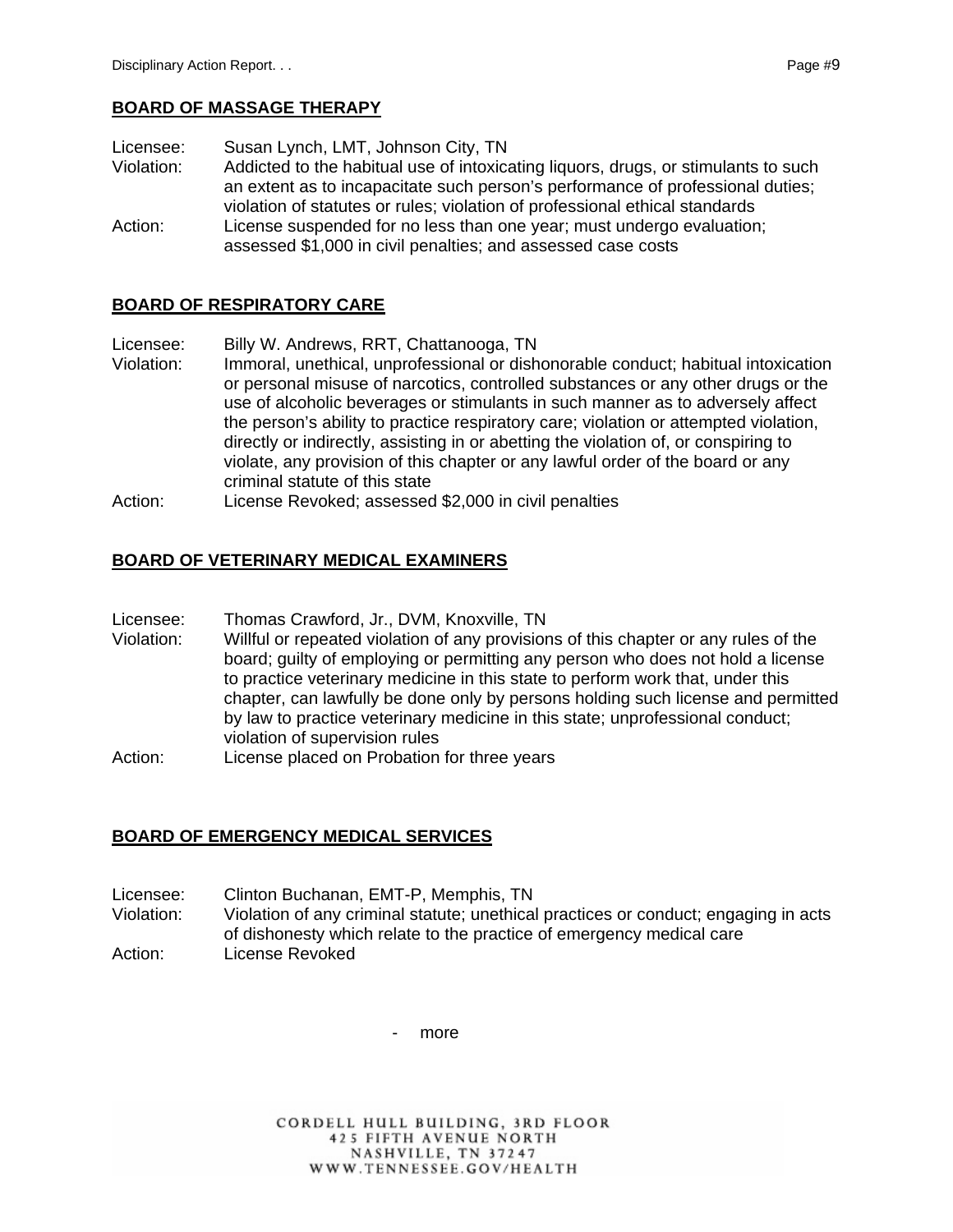Licensee: Susan Lynch, LMT, Johnson City, TN Violation: Addicted to the habitual use of intoxicating liquors, drugs, or stimulants to such an extent as to incapacitate such person's performance of professional duties; violation of statutes or rules; violation of professional ethical standards Action: License suspended for no less than one year; must undergo evaluation;

assessed \$1,000 in civil penalties; and assessed case costs

## **BOARD OF RESPIRATORY CARE**

Licensee: Billy W. Andrews, RRT, Chattanooga, TN

- Violation: Immoral, unethical, unprofessional or dishonorable conduct; habitual intoxication or personal misuse of narcotics, controlled substances or any other drugs or the use of alcoholic beverages or stimulants in such manner as to adversely affect the person's ability to practice respiratory care; violation or attempted violation, directly or indirectly, assisting in or abetting the violation of, or conspiring to violate, any provision of this chapter or any lawful order of the board or any criminal statute of this state
- Action: License Revoked; assessed \$2,000 in civil penalties

## **BOARD OF VETERINARY MEDICAL EXAMINERS**

- Licensee: Thomas Crawford, Jr., DVM, Knoxville, TN
- Violation: Willful or repeated violation of any provisions of this chapter or any rules of the board; guilty of employing or permitting any person who does not hold a license to practice veterinary medicine in this state to perform work that, under this chapter, can lawfully be done only by persons holding such license and permitted by law to practice veterinary medicine in this state; unprofessional conduct; violation of supervision rules
- Action: License placed on Probation for three years

## **BOARD OF EMERGENCY MEDICAL SERVICES**

- Licensee: Clinton Buchanan, EMT-P, Memphis, TN
- Violation: Violation of any criminal statute; unethical practices or conduct; engaging in acts of dishonesty which relate to the practice of emergency medical care Action: License Revoked

more

CORDELL HULL BUILDING, 3RD FLOOR **425 FIFTH AVENUE NORTH** NASHVILLE, TN 37247 WWW.TENNESSEE.GOV/HEALTH